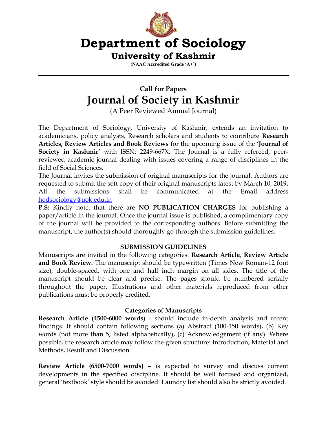

**(NAAC Accredited Grade 'A+')**

# **Call for Papers Journal of Society in Kashmir**

(A Peer Reviewed Annual Journal)

The Department of Sociology, University of Kashmir, extends an invitation to academicians, policy analysts, Research scholars and students to contribute **Research Articles, Review Articles and Book Reviews** for the upcoming issue of the **'Journal of Society in Kashmir'** with ISSN: 2249-667X. The Journal is a fully refereed, peerreviewed academic journal dealing with issues covering a range of disciplines in the field of Social Sciences.

The Journal invites the submission of original manuscripts for the journal. Authors are requested to submit the soft copy of their original manuscripts latest by March 10, 2019**.**  All the submissions shall be communicated at the Email address [hodsociology@uok.edu.in](mailto:hodsociology@uok.edu.in)

**P.S:** Kindly note, that there are **NO PUBLICATION CHARGES** for publishing a paper/article in the journal. Once the journal issue is published, a complimentary copy of the journal will be provided to the corresponding authors. Before submitting the manuscript, the author(s) should thoroughly go through the submission guidelines.

## **SUBMISSION GUIDELINES**

Manuscripts are invited in the following categories: **Research Article**, **Review Article and Book Review.** The manuscript should be typewritten (Times New Roman-12 font size), double-spaced, with one and half inch margin on all sides. The title of the manuscript should be clear and precise. The pages should be numbered serially throughout the paper. Illustrations and other materials reproduced from other publications must be properly credited.

## **Categories of Manuscripts**

**Research Article (4500-6000 words)** - should include in-depth analysis and recent findings. It should contain following sections (a) Abstract (100-150 words), (b) Key words (not more than 5, listed alphabetically), (c) Acknowledgement (if any). Where possible, the research article may follow the given structure: Introduction, Material and Methods, Result and Discussion.

**Review Article (6500-7000 words)** – is expected to survey and discuss current developments in the specified discipline. It should be well focused and organized, general 'textbook' style should be avoided. Laundry list should also be strictly avoided.